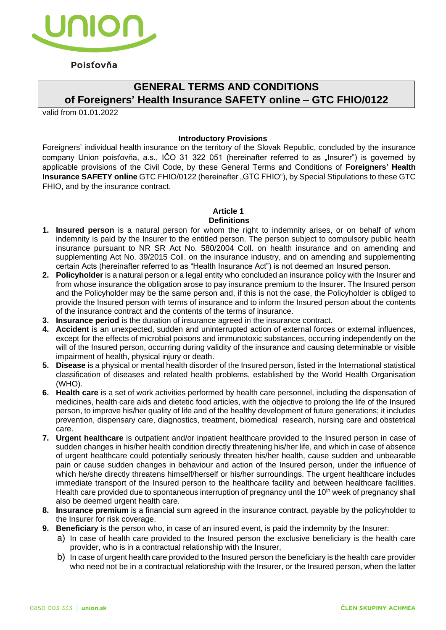

## Poisťovňa

# **GENERAL TERMS AND CONDITIONS of Foreigners' Health Insurance SAFETY online – GTC FHIO/0122**

valid from 01.01.2022

#### **Introductory Provisions**

Foreigners' individual health insurance on the territory of the Slovak Republic, concluded by the insurance company Union poisťovňa, a.s., IČO 31 322 051 (hereinafter referred to as "Insurer") is governed by applicable provisions of the Civil Code, by these General Terms and Conditions of **Foreigners' Health Insurance SAFETY online** GTC FHIO/0122 (hereinafter "GTC FHIO"), by Special Stipulations to these GTC FHIO, and by the insurance contract.

#### **Article 1 Definitions**

- **1. Insured person** is a natural person for whom the right to indemnity arises, or on behalf of whom indemnity is paid by the Insurer to the entitled person. The person subject to compulsory public health insurance pursuant to NR SR Act No. 580/2004 Coll. on health insurance and on amending and supplementing Act No. 39/2015 Coll. on the insurance industry, and on amending and supplementing certain Acts (hereinafter referred to as "Health Insurance Act") is not deemed an Insured person.
- **2. Policyholder** is a natural person or a legal entity who concluded an insurance policy with the Insurer and from whose insurance the obligation arose to pay insurance premium to the Insurer. The Insured person and the Policyholder may be the same person and, if this is not the case, the Policyholder is obliged to provide the Insured person with terms of insurance and to inform the Insured person about the contents of the insurance contract and the contents of the terms of insurance.
- **3. Insurance period** is the duration of insurance agreed in the insurance contract.
- **4. Accident** is an unexpected, sudden and uninterrupted action of external forces or external influences, except for the effects of microbial poisons and immunotoxic substances, occurring independently on the will of the Insured person, occurring during validity of the insurance and causing determinable or visible impairment of health, physical injury or death.
- **5. Disease** is a physical or mental health disorder of the Insured person, listed in the International statistical classification of diseases and related health problems, established by the World Health Organisation (WHO).
- **6. Health care** is a set of work activities performed by health care personnel, including the dispensation of medicines, health care aids and dietetic food articles, with the objective to prolong the life of the Insured person, to improve his/her quality of life and of the healthy development of future generations; it includes prevention, dispensary care, diagnostics, treatment, biomedical research, nursing care and obstetrical care.
- **7. Urgent healthcare** is outpatient and/or inpatient healthcare provided to the Insured person in case of sudden changes in his/her health condition directly threatening his/her life, and which in case of absence of urgent healthcare could potentially seriously threaten his/her health, cause sudden and unbearable pain or cause sudden changes in behaviour and action of the Insured person, under the influence of which he/she directly threatens himself/herself or his/her surroundings. The urgent healthcare includes immediate transport of the Insured person to the healthcare facility and between healthcare facilities. Health care provided due to spontaneous interruption of pregnancy until the 10<sup>th</sup> week of pregnancy shall also be deemed urgent health care.
- **8. Insurance premium** is a financial sum agreed in the insurance contract, payable by the policyholder to the Insurer for risk coverage.
- **9. Beneficiary** is the person who, in case of an insured event, is paid the indemnity by the Insurer:
	- a) In case of health care provided to the Insured person the exclusive beneficiary is the health care provider, who is in a contractual relationship with the Insurer,
	- b) In case of urgent health care provided to the Insured person the beneficiary is the health care provider who need not be in a contractual relationship with the Insurer, or the Insured person, when the latter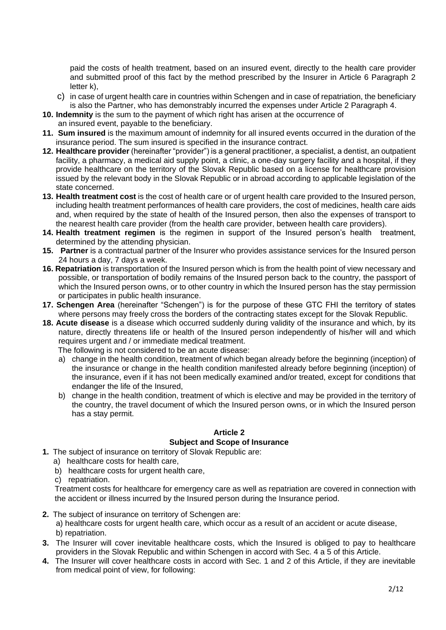paid the costs of health treatment, based on an insured event, directly to the health care provider and submitted proof of this fact by the method prescribed by the Insurer in Article 6 Paragraph 2 letter k),

- c) in case of urgent health care in countries within Schengen and in case of repatriation, the beneficiary is also the Partner, who has demonstrably incurred the expenses under Article 2 Paragraph 4.
- **10. Indemnity** is the sum to the payment of which right has arisen at the occurrence of
- an insured event, payable to the beneficiary. **11. Sum insured** is the maximum amount of indemnity for all insured events occurred in the duration of the
- insurance period. The sum insured is specified in the insurance contract. **12. Healthcare provider** (hereinafter "provider") is a general practitioner, a specialist, a dentist, an outpatient facility, a pharmacy, a medical aid supply point, a clinic, a one-day surgery facility and a hospital, if they provide healthcare on the territory of the Slovak Republic based on a license for healthcare provision issued by the relevant body in the Slovak Republic or in abroad according to applicable legislation of the state concerned.
- **13. Health treatment cost** is the cost of health care or of urgent health care provided to the Insured person, including health treatment performances of health care providers, the cost of medicines, health care aids and, when required by the state of health of the Insured person, then also the expenses of transport to the nearest health care provider (from the health care provider, between health care providers).
- **14. Health treatment regimen** is the regimen in support of the Insured person's health treatment, determined by the attending physician.
- **15. Partner** is a contractual partner of the Insurer who provides assistance services for the Insured person 24 hours a day, 7 days a week.
- **16. Repatriation** is transportation of the Insured person which is from the health point of view necessary and possible, or transportation of bodily remains of the Insured person back to the country, the passport of which the Insured person owns, or to other country in which the Insured person has the stay permission or participates in public health insurance.
- **17. Schengen Area** (hereinafter "Schengen") is for the purpose of these GTC FHI the territory of states where persons may freely cross the borders of the contracting states except for the Slovak Republic.
- **18. Acute disease** is a disease which occurred suddenly during validity of the insurance and which, by its nature, directly threatens life or health of the Insured person independently of his/her will and which requires urgent and / or immediate medical treatment.

The following is not considered to be an acute disease:

- a) change in the health condition, treatment of which began already before the beginning (inception) of the insurance or change in the health condition manifested already before beginning (inception) of the insurance, even if it has not been medically examined and/or treated, except for conditions that endanger the life of the Insured,
- b) change in the health condition, treatment of which is elective and may be provided in the territory of the country, the travel document of which the Insured person owns, or in which the Insured person has a stay permit.

## **Article 2 Subject and Scope of Insurance**

- **1.** The subject of insurance on territory of Slovak Republic are:
	- a) healthcare costs for health care,
	- b) healthcare costs for urgent health care,
	- c) repatriation.

Treatment costs for healthcare for emergency care as well as repatriation are covered in connection with the accident or illness incurred by the Insured person during the Insurance period.

- **2.** The subject of insurance on territory of Schengen are:
	- a) healthcare costs for urgent health care, which occur as a result of an accident or acute disease, b) repatriation.
- **3.** The Insurer will cover inevitable healthcare costs, which the Insured is obliged to pay to healthcare providers in the Slovak Republic and within Schengen in accord with Sec. 4 a 5 of this Article.
- **4.** The Insurer will cover healthcare costs in accord with Sec. 1 and 2 of this Article, if they are inevitable from medical point of view, for following: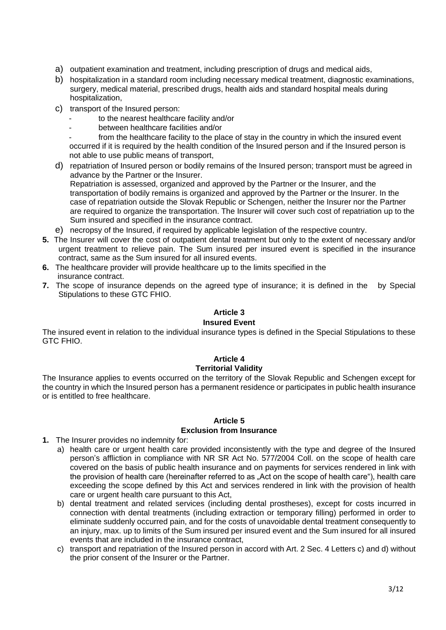- a) outpatient examination and treatment, including prescription of drugs and medical aids,
- b) hospitalization in a standard room including necessary medical treatment, diagnostic examinations, surgery, medical material, prescribed drugs, health aids and standard hospital meals during hospitalization,
- c) transport of the Insured person:
	- to the nearest healthcare facility and/or
	- between healthcare facilities and/or
	- from the healthcare facility to the place of stay in the country in which the insured event occurred if it is required by the health condition of the Insured person and if the Insured person is not able to use public means of transport,
- d) repatriation of Insured person or bodily remains of the Insured person; transport must be agreed in advance by the Partner or the Insurer. Repatriation is assessed, organized and approved by the Partner or the Insurer, and the transportation of bodily remains is organized and approved by the Partner or the Insurer. In the case of repatriation outside the Slovak Republic or Schengen, neither the Insurer nor the Partner are required to organize the transportation. The Insurer will cover such cost of repatriation up to the Sum insured and specified in the insurance contract.
- e) necropsy of the Insured, if required by applicable legislation of the respective country.
- **5.** The Insurer will cover the cost of outpatient dental treatment but only to the extent of necessary and/or urgent treatment to relieve pain. The Sum insured per insured event is specified in the insurance contract, same as the Sum insured for all insured events.
- **6.** The healthcare provider will provide healthcare up to the limits specified in the insurance contract.
- **7.** The scope of insurance depends on the agreed type of insurance; it is defined in the by Special Stipulations to these GTC FHIO.

#### **Article 3**

#### **Insured Event**

The insured event in relation to the individual insurance types is defined in the Special Stipulations to these GTC FHIO.

#### **Article 4 Territorial Validity**

The Insurance applies to events occurred on the territory of the Slovak Republic and Schengen except for the country in which the Insured person has a permanent residence or participates in public health insurance or is entitled to free healthcare.

## **Article 5 Exclusion from Insurance**

- **1.** The Insurer provides no indemnity for:
	- a) health care or urgent health care provided inconsistently with the type and degree of the Insured person's affliction in compliance with NR SR Act No. 577/2004 Coll. on the scope of health care covered on the basis of public health insurance and on payments for services rendered in link with the provision of health care (hereinafter referred to as "Act on the scope of health care"), health care exceeding the scope defined by this Act and services rendered in link with the provision of health care or urgent health care pursuant to this Act,
	- b) dental treatment and related services (including dental prostheses), except for costs incurred in connection with dental treatments (including extraction or temporary filling) performed in order to eliminate suddenly occurred pain, and for the costs of unavoidable dental treatment consequently to an injury, max. up to limits of the Sum insured per insured event and the Sum insured for all insured events that are included in the insurance contract,
	- c) transport and repatriation of the Insured person in accord with Art. 2 Sec. 4 Letters c) and d) without the prior consent of the Insurer or the Partner.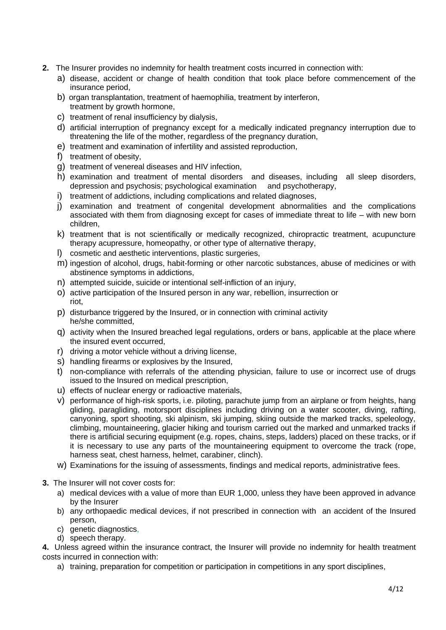- **2.** The Insurer provides no indemnity for health treatment costs incurred in connection with:
	- a) disease, accident or change of health condition that took place before commencement of the insurance period,
	- b) organ transplantation, treatment of haemophilia, treatment by interferon, treatment by growth hormone,
	- c) treatment of renal insufficiency by dialysis,
	- d) artificial interruption of pregnancy except for a medically indicated pregnancy interruption due to threatening the life of the mother, regardless of the pregnancy duration,
	- e) treatment and examination of infertility and assisted reproduction,
	- f) treatment of obesity,
	- g) treatment of venereal diseases and HIV infection,
	- h) examination and treatment of mental disorders and diseases, including all sleep disorders, depression and psychosis; psychological examination and psychotherapy,
	- i) treatment of addictions, including complications and related diagnoses,
	- j) examination and treatment of congenital development abnormalities and the complications associated with them from diagnosing except for cases of immediate threat to life – with new born children,
	- k) treatment that is not scientifically or medically recognized, chiropractic treatment, acupuncture therapy acupressure, homeopathy, or other type of alternative therapy,
	- l) cosmetic and aesthetic interventions, plastic surgeries,
	- m) ingestion of alcohol, drugs, habit-forming or other narcotic substances, abuse of medicines or with abstinence symptoms in addictions,
	- n) attempted suicide, suicide or intentional self-infliction of an injury,
	- o) active participation of the Insured person in any war, rebellion, insurrection or riot,
	- p) disturbance triggered by the Insured, or in connection with criminal activity he/she committed,
	- q) activity when the Insured breached legal regulations, orders or bans, applicable at the place where the insured event occurred,
	- r) driving a motor vehicle without a driving license,
	- s) handling firearms or explosives by the Insured,
	- t) non-compliance with referrals of the attending physician, failure to use or incorrect use of drugs issued to the Insured on medical prescription,
	- u) effects of nuclear energy or radioactive materials,
	- v) performance of high-risk sports, i.e. piloting, parachute jump from an airplane or from heights, hang gliding, paragliding, motorsport disciplines including driving on a water scooter, diving, rafting, canyoning, sport shooting, ski alpinism, ski jumping, skiing outside the marked tracks, speleology, climbing, mountaineering, glacier hiking and tourism carried out the marked and unmarked tracks if there is artificial securing equipment (e.g. ropes, chains, steps, ladders) placed on these tracks, or if it is necessary to use any parts of the mountaineering equipment to overcome the track (rope, harness seat, chest harness, helmet, carabiner, clinch).
	- w) Examinations for the issuing of assessments, findings and medical reports, administrative fees.
- **3.** The Insurer will not cover costs for:
	- a) medical devices with a value of more than EUR 1,000, unless they have been approved in advance by the Insurer
	- b) any orthopaedic medical devices, if not prescribed in connection with an accident of the Insured person,
	- c) genetic diagnostics,
	- d) speech therapy.

**4.** Unless agreed within the insurance contract, the Insurer will provide no indemnity for health treatment costs incurred in connection with:

a) training, preparation for competition or participation in competitions in any sport disciplines,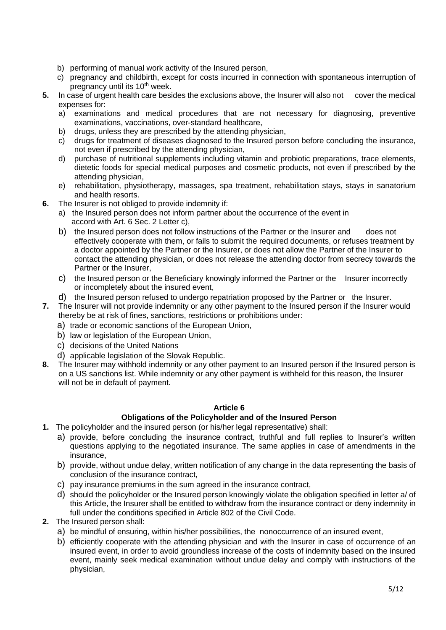- b) performing of manual work activity of the Insured person,
- c) pregnancy and childbirth, except for costs incurred in connection with spontaneous interruption of pregnancy until its 10<sup>th</sup> week.
- **5.** In case of urgent health care besides the exclusions above, the Insurer will also not cover the medical expenses for:
	- a) examinations and medical procedures that are not necessary for diagnosing, preventive examinations, vaccinations, over-standard healthcare,
	- b) drugs, unless they are prescribed by the attending physician,
	- c) drugs for treatment of diseases diagnosed to the Insured person before concluding the insurance, not even if prescribed by the attending physician,
	- d) purchase of nutritional supplements including vitamin and probiotic preparations, trace elements, dietetic foods for special medical purposes and cosmetic products, not even if prescribed by the attending physician,
	- e) rehabilitation, physiotherapy, massages, spa treatment, rehabilitation stays, stays in sanatorium and health resorts.
- **6.** The Insurer is not obliged to provide indemnity if:
	- a) the Insured person does not inform partner about the occurrence of the event in accord with Art. 6 Sec. 2 Letter c),
	- b) the Insured person does not follow instructions of the Partner or the Insurer and does not effectively cooperate with them, or fails to submit the required documents, or refuses treatment by a doctor appointed by the Partner or the Insurer, or does not allow the Partner of the Insurer to contact the attending physician, or does not release the attending doctor from secrecy towards the Partner or the Insurer,
	- c) the Insured person or the Beneficiary knowingly informed the Partner or the Insurer incorrectly or incompletely about the insured event,
	- d) the Insured person refused to undergo repatriation proposed by the Partner or the Insurer.
- **7.** The Insurer will not provide indemnity or any other payment to the Insured person if the Insurer would thereby be at risk of fines, sanctions, restrictions or prohibitions under:
	- a) trade or economic sanctions of the European Union,
	- b) law or legislation of the European Union,
	- c) decisions of the United Nations
	- d) applicable legislation of the Slovak Republic.
- **8.** The Insurer may withhold indemnity or any other payment to an Insured person if the Insured person is on a US sanctions list. While indemnity or any other payment is withheld for this reason, the Insurer will not be in default of payment.

## **Article 6**

## **Obligations of the Policyholder and of the Insured Person**

- **1.** The policyholder and the insured person (or his/her legal representative) shall:
	- a) provide, before concluding the insurance contract, truthful and full replies to Insurer's written questions applying to the negotiated insurance. The same applies in case of amendments in the insurance,
	- b) provide, without undue delay, written notification of any change in the data representing the basis of conclusion of the insurance contract,
	- c) pay insurance premiums in the sum agreed in the insurance contract,
	- d) should the policyholder or the Insured person knowingly violate the obligation specified in letter a/ of this Article, the Insurer shall be entitled to withdraw from the insurance contract or deny indemnity in full under the conditions specified in Article 802 of the Civil Code.
- **2.** The Insured person shall:
	- a) be mindful of ensuring, within his/her possibilities, the nonoccurrence of an insured event,
	- b) efficiently cooperate with the attending physician and with the Insurer in case of occurrence of an insured event, in order to avoid groundless increase of the costs of indemnity based on the insured event, mainly seek medical examination without undue delay and comply with instructions of the physician,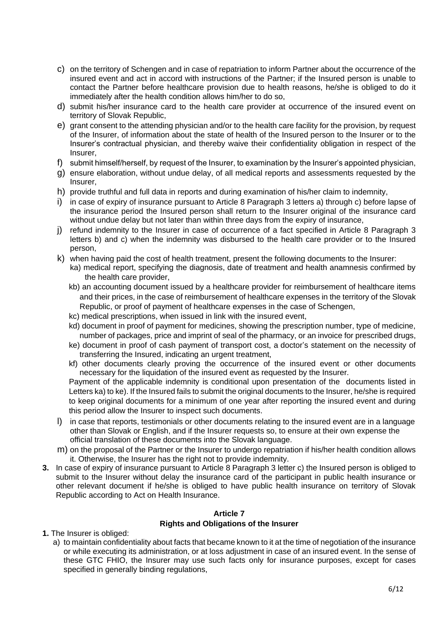- c) on the territory of Schengen and in case of repatriation to inform Partner about the occurrence of the insured event and act in accord with instructions of the Partner; if the Insured person is unable to contact the Partner before healthcare provision due to health reasons, he/she is obliged to do it immediately after the health condition allows him/her to do so,
- d) submit his/her insurance card to the health care provider at occurrence of the insured event on territory of Slovak Republic,
- e) grant consent to the attending physician and/or to the health care facility for the provision, by request of the Insurer, of information about the state of health of the Insured person to the Insurer or to the Insurer's contractual physician, and thereby waive their confidentiality obligation in respect of the Insurer,
- f) submit himself/herself, by request of the Insurer, to examination by the Insurer's appointed physician,
- g) ensure elaboration, without undue delay, of all medical reports and assessments requested by the Insurer,
- h) provide truthful and full data in reports and during examination of his/her claim to indemnity,
- i) in case of expiry of insurance pursuant to Article 8 Paragraph 3 letters a) through c) before lapse of the insurance period the Insured person shall return to the Insurer original of the insurance card without undue delay but not later than within three days from the expiry of insurance,
- j) refund indemnity to the Insurer in case of occurrence of a fact specified in Article 8 Paragraph 3 letters b) and c) when the indemnity was disbursed to the health care provider or to the Insured person,
- k) when having paid the cost of health treatment, present the following documents to the Insurer:
	- ka) medical report, specifying the diagnosis, date of treatment and health anamnesis confirmed by the health care provider,
		- kb) an accounting document issued by a healthcare provider for reimbursement of healthcare items and their prices, in the case of reimbursement of healthcare expenses in the territory of the Slovak Republic, or proof of payment of healthcare expenses in the case of Schengen,
		- kc) medical prescriptions, when issued in link with the insured event,
		- kd) document in proof of payment for medicines, showing the prescription number, type of medicine, number of packages, price and imprint of seal of the pharmacy, or an invoice for prescribed drugs,
		- ke) document in proof of cash payment of transport cost, a doctor's statement on the necessity of transferring the Insured, indicating an urgent treatment,
		- kf) other documents clearly proving the occurrence of the insured event or other documents necessary for the liquidation of the insured event as requested by the Insurer.

Payment of the applicable indemnity is conditional upon presentation of the documents listed in Letters ka) to ke). If the Insured fails to submit the original documents to the Insurer, he/she is required to keep original documents for a minimum of one year after reporting the insured event and during this period allow the Insurer to inspect such documents.

- l) in case that reports, testimonials or other documents relating to the insured event are in a language other than Slovak or English, and if the Insurer requests so, to ensure at their own expense the official translation of these documents into the Slovak language.
- m) on the proposal of the Partner or the Insurer to undergo repatriation if his/her health condition allows it. Otherwise, the Insurer has the right not to provide indemnity.
- **3.** In case of expiry of insurance pursuant to Article 8 Paragraph 3 letter c) the Insured person is obliged to submit to the Insurer without delay the insurance card of the participant in public health insurance or other relevant document if he/she is obliged to have public health insurance on territory of Slovak Republic according to Act on Health Insurance.

## **Article 7 Rights and Obligations of the Insurer**

**1.** The Insurer is obliged:

a) to maintain confidentiality about facts that became known to it at the time of negotiation of the insurance or while executing its administration, or at loss adjustment in case of an insured event. In the sense of these GTC FHIO, the Insurer may use such facts only for insurance purposes, except for cases specified in generally binding regulations,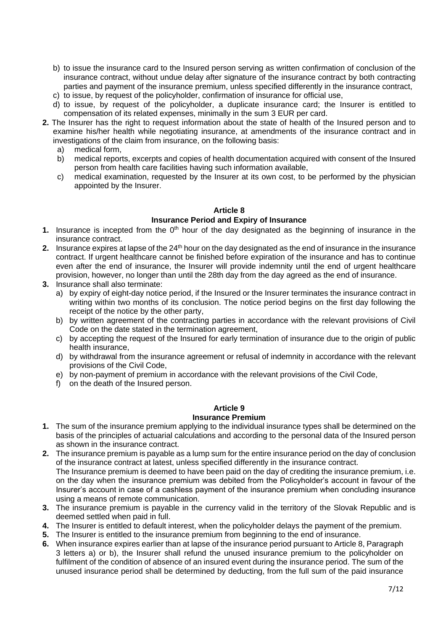- b) to issue the insurance card to the Insured person serving as written confirmation of conclusion of the insurance contract, without undue delay after signature of the insurance contract by both contracting parties and payment of the insurance premium, unless specified differently in the insurance contract,
- c) to issue, by request of the policyholder, confirmation of insurance for official use,
- d) to issue, by request of the policyholder, a duplicate insurance card; the Insurer is entitled to compensation of its related expenses, minimally in the sum 3 EUR per card.
- **2.** The Insurer has the right to request information about the state of health of the Insured person and to examine his/her health while negotiating insurance, at amendments of the insurance contract and in investigations of the claim from insurance, on the following basis:
	- a) medical form,
	- b) medical reports, excerpts and copies of health documentation acquired with consent of the Insured person from health care facilities having such information available,
	- c) medical examination, requested by the Insurer at its own cost, to be performed by the physician appointed by the Insurer.

#### **Article 8**

#### **Insurance Period and Expiry of Insurance**

- **1.** Insurance is incepted from the  $0<sup>th</sup>$  hour of the day designated as the beginning of insurance in the insurance contract.
- **2.** Insurance expires at lapse of the 24th hour on the day designated as the end of insurance in the insurance contract. If urgent healthcare cannot be finished before expiration of the insurance and has to continue even after the end of insurance, the Insurer will provide indemnity until the end of urgent healthcare provision, however, no longer than until the 28th day from the day agreed as the end of insurance.
- **3.** Insurance shall also terminate:
	- a) by expiry of eight-day notice period, if the Insured or the Insurer terminates the insurance contract in writing within two months of its conclusion. The notice period begins on the first day following the receipt of the notice by the other party,
	- b) by written agreement of the contracting parties in accordance with the relevant provisions of Civil Code on the date stated in the termination agreement,
	- c) by accepting the request of the Insured for early termination of insurance due to the origin of public health insurance,
	- d) by withdrawal from the insurance agreement or refusal of indemnity in accordance with the relevant provisions of the Civil Code,
	- e) by non-payment of premium in accordance with the relevant provisions of the Civil Code,
	- f) on the death of the Insured person.

#### **Article 9**

#### **Insurance Premium**

- **1.** The sum of the insurance premium applying to the individual insurance types shall be determined on the basis of the principles of actuarial calculations and according to the personal data of the Insured person as shown in the insurance contract.
- **2.** The insurance premium is payable as a lump sum for the entire insurance period on the day of conclusion of the insurance contract at latest, unless specified differently in the insurance contract. The Insurance premium is deemed to have been paid on the day of crediting the insurance premium, i.e. on the day when the insurance premium was debited from the Policyholder's account in favour of the Insurer's account in case of a cashless payment of the insurance premium when concluding insurance using a means of remote communication.
- **3.** The insurance premium is payable in the currency valid in the territory of the Slovak Republic and is deemed settled when paid in full.
- **4.** The Insurer is entitled to default interest, when the policyholder delays the payment of the premium.
- **5.** The Insurer is entitled to the insurance premium from beginning to the end of insurance.
- **6.** When insurance expires earlier than at lapse of the insurance period pursuant to Article 8, Paragraph 3 letters a) or b), the Insurer shall refund the unused insurance premium to the policyholder on fulfilment of the condition of absence of an insured event during the insurance period. The sum of the unused insurance period shall be determined by deducting, from the full sum of the paid insurance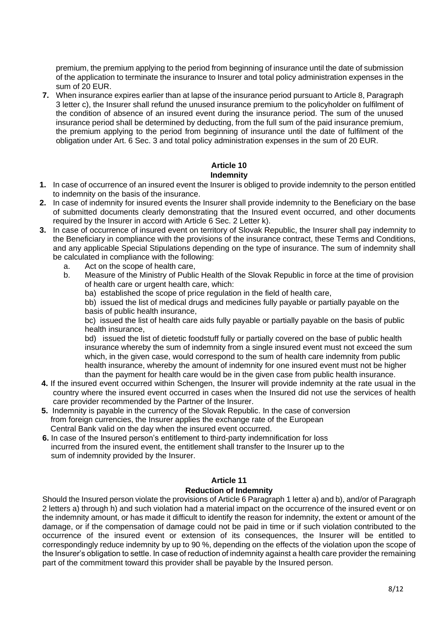premium, the premium applying to the period from beginning of insurance until the date of submission of the application to terminate the insurance to Insurer and total policy administration expenses in the sum of 20 EUR.

**7.** When insurance expires earlier than at lapse of the insurance period pursuant to Article 8, Paragraph 3 letter c), the Insurer shall refund the unused insurance premium to the policyholder on fulfilment of the condition of absence of an insured event during the insurance period. The sum of the unused insurance period shall be determined by deducting, from the full sum of the paid insurance premium, the premium applying to the period from beginning of insurance until the date of fulfilment of the obligation under Art. 6 Sec. 3 and total policy administration expenses in the sum of 20 EUR.

## **Article 10 Indemnity**

- **1.** In case of occurrence of an insured event the Insurer is obliged to provide indemnity to the person entitled to indemnity on the basis of the insurance.
- **2.** In case of indemnity for insured events the Insurer shall provide indemnity to the Beneficiary on the base of submitted documents clearly demonstrating that the Insured event occurred, and other documents required by the Insurer in accord with Article 6 Sec. 2 Letter k).
- **3.** In case of occurrence of insured event on territory of Slovak Republic, the Insurer shall pay indemnity to the Beneficiary in compliance with the provisions of the insurance contract, these Terms and Conditions, and any applicable Special Stipulations depending on the type of insurance. The sum of indemnity shall be calculated in compliance with the following:
	- a. Act on the scope of health care,
	- b. Measure of the Ministry of Public Health of the Slovak Republic in force at the time of provision of health care or urgent health care, which:
		- ba) established the scope of price regulation in the field of health care,

bb) issued the list of medical drugs and medicines fully payable or partially payable on the basis of public health insurance,

bc) issued the list of health care aids fully payable or partially payable on the basis of public health insurance,

bd) issued the list of dietetic foodstuff fully or partially covered on the base of public health insurance whereby the sum of indemnity from a single insured event must not exceed the sum which, in the given case, would correspond to the sum of health care indemnity from public health insurance, whereby the amount of indemnity for one insured event must not be higher than the payment for health care would be in the given case from public health insurance.

- **4.** If the insured event occurred within Schengen, the Insurer will provide indemnity at the rate usual in the country where the insured event occurred in cases when the Insured did not use the services of health care provider recommended by the Partner of the Insurer.
- **5.** Indemnity is payable in the currency of the Slovak Republic. In the case of conversion from foreign currencies, the Insurer applies the exchange rate of the European Central Bank valid on the day when the insured event occurred.
- **6.** In case of the Insured person's entitlement to third-party indemnification for loss incurred from the insured event, the entitlement shall transfer to the Insurer up to the sum of indemnity provided by the Insurer.

#### **Article 11 Reduction of Indemnity**

Should the Insured person violate the provisions of Article 6 Paragraph 1 letter a) and b), and/or of Paragraph 2 letters a) through h) and such violation had a material impact on the occurrence of the insured event or on the indemnity amount, or has made it difficult to identify the reason for indemnity, the extent or amount of the damage, or if the compensation of damage could not be paid in time or if such violation contributed to the occurrence of the insured event or extension of its consequences, the Insurer will be entitled to correspondingly reduce indemnity by up to 90 %, depending on the effects of the violation upon the scope of the Insurer's obligation to settle. In case of reduction of indemnity against a health care provider the remaining part of the commitment toward this provider shall be payable by the Insured person.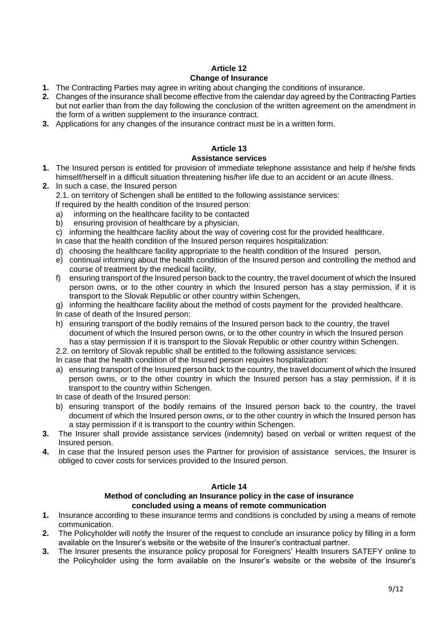## **Article 12 Change of Insurance**

- **1.** The Contracting Parties may agree in writing about changing the conditions of insurance.
- **2.** Changes of the insurance shall become effective from the calendar day agreed by the Contracting Parties but not earlier than from the day following the conclusion of the written agreement on the amendment in the form of a written supplement to the insurance contract.
- **3.** Applications for any changes of the insurance contract must be in a written form.

## **Article 13**

## **Assistance services**

- **1.** The Insured person is entitled for provision of immediate telephone assistance and help if he/she finds himself/herself in a difficult situation threatening his/her life due to an accident or an acute illness.
- **2.** In such a case, the Insured person 2.1. on territory of Schengen shall be entitled to the following assistance services: If required by the health condition of the Insured person:
	- a) informing on the healthcare facility to be contacted
	- b) ensuring provision of healthcare by a physician,
	- c) informing the healthcare facility about the way of covering cost for the provided healthcare.
	- In case that the health condition of the Insured person requires hospitalization:
	- d) choosing the healthcare facility appropriate to the health condition of the Insured person,
	- e) continual informing about the health condition of the Insured person and controlling the method and course of treatment by the medical facility,
	- f) ensuring transport of the Insured person back to the country, the travel document of which the Insured person owns, or to the other country in which the Insured person has a stay permission, if it is transport to the Slovak Republic or other country within Schengen,
	- g) informing the healthcare facility about the method of costs payment for the provided healthcare.
	- In case of death of the Insured person:
	- h) ensuring transport of the bodily remains of the Insured person back to the country, the travel document of which the Insured person owns, or to the other country in which the Insured person has a stay permission if it is transport to the Slovak Republic or other country within Schengen.
	- 2.2. on territory of Slovak republic shall be entitled to the following assistance services:
	- In case that the health condition of the Insured person requires hospitalization:
	- a) ensuring transport of the Insured person back to the country, the travel document of which the Insured person owns, or to the other country in which the Insured person has a stay permission, if it is transport to the country within Schengen.
	- In case of death of the Insured person:
	- b) ensuring transport of the bodily remains of the Insured person back to the country, the travel document of which the Insured person owns, or to the other country in which the Insured person has a stay permission if it is transport to the country within Schengen.
- **3.** The Insurer shall provide assistance services (indemnity) based on verbal or written request of the Insured person.
- **4.** In case that the Insured person uses the Partner for provision of assistance services, the Insurer is obliged to cover costs for services provided to the Insured person.

#### **Article 14**

## **Method of concluding an Insurance policy in the case of insurance concluded using a means of remote communication**

- **1.** Insurance according to these insurance terms and conditions is concluded by using a means of remote communication.
- **2.** The Policyholder will notify the Insurer of the request to conclude an insurance policy by filling in a form available on the Insurer's website or the website of the Insurer's contractual partner.
- **3.** The Insurer presents the insurance policy proposal for Foreigners' Health Insurers SATEFY online to the Policyholder using the form available on the Insurer's website or the website of the Insurer's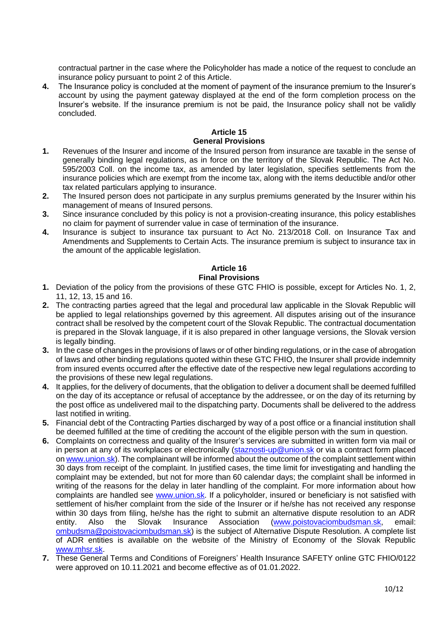contractual partner in the case where the Policyholder has made a notice of the request to conclude an insurance policy pursuant to point 2 of this Article.

**4.** The Insurance policy is concluded at the moment of payment of the insurance premium to the Insurer's account by using the payment gateway displayed at the end of the form completion process on the Insurer's website. If the insurance premium is not be paid, the Insurance policy shall not be validly concluded.

#### **Article 15 General Provisions**

- **1.** Revenues of the Insurer and income of the Insured person from insurance are taxable in the sense of generally binding legal regulations, as in force on the territory of the Slovak Republic. The Act No. 595/2003 Coll. on the income tax, as amended by later legislation, specifies settlements from the insurance policies which are exempt from the income tax, along with the items deductible and/or other tax related particulars applying to insurance.
- **2.** The Insured person does not participate in any surplus premiums generated by the Insurer within his management of means of Insured persons.
- **3.** Since insurance concluded by this policy is not a provision-creating insurance, this policy establishes no claim for payment of surrender value in case of termination of the insurance.
- **4.** Insurance is subject to insurance tax pursuant to Act No. 213/2018 Coll. on Insurance Tax and Amendments and Supplements to Certain Acts. The insurance premium is subject to insurance tax in the amount of the applicable legislation.

## **Article 16 Final Provisions**

- **1.** Deviation of the policy from the provisions of these GTC FHIO is possible, except for Articles No. 1, 2, 11, 12, 13, 15 and 16.
- **2.** The contracting parties agreed that the legal and procedural law applicable in the Slovak Republic will be applied to legal relationships governed by this agreement. All disputes arising out of the insurance contract shall be resolved by the competent court of the Slovak Republic. The contractual documentation is prepared in the Slovak language, if it is also prepared in other language versions, the Slovak version is legally binding.
- **3.** In the case of changes in the provisions of laws or of other binding regulations, or in the case of abrogation of laws and other binding regulations quoted within these GTC FHIO, the Insurer shall provide indemnity from insured events occurred after the effective date of the respective new legal regulations according to the provisions of these new legal regulations.
- **4.** It applies, for the delivery of documents, that the obligation to deliver a document shall be deemed fulfilled on the day of its acceptance or refusal of acceptance by the addressee, or on the day of its returning by the post office as undelivered mail to the dispatching party. Documents shall be delivered to the address last notified in writing.
- **5.** Financial debt of the Contracting Parties discharged by way of a post office or a financial institution shall be deemed fulfilled at the time of crediting the account of the eligible person with the sum in question.
- **6.** Complaints on correctness and quality of the Insurer's services are submitted in written form via mail or in person at any of its workplaces or electronically [\(staznosti-up@union.sk](mailto:staznosti-up@union.sk) or via a contract form placed o[n www.union.sk\)](http://www.union.sk/). The complainant will be informed about the outcome of the complaint settlement within 30 days from receipt of the complaint. In justified cases, the time limit for investigating and handling the complaint may be extended, but not for more than 60 calendar days; the complaint shall be informed in writing of the reasons for the delay in later handling of the complaint. For more information about how complaints are handled see [www.union.sk.](http://www.union.sk/) If a policyholder, insured or beneficiary is not satisfied with settlement of his/her complaint from the side of the Insurer or if he/she has not received any response within 30 days from filing, he/she has the right to submit an alternative dispute resolution to an ADR entity. Also the Slovak Insurance Association [\(www.poistovaciombudsman.sk,](http://www.poistovaciombudsman.sk/) email: [ombudsma@poistovaciombudsman.sk\)](mailto:ombudsma@poistovaciombudsman.sk) is the subject of Alternative Dispute Resolution. A complete list of ADR entities is available on the website of the Ministry of Economy of the Slovak Republic [www.mhsr.sk.](http://www.mhsr.sk/)
- **7.** These General Terms and Conditions of Foreigners' Health Insurance SAFETY online GTC FHIO/0122 were approved on 10.11.2021 and become effective as of 01.01.2022.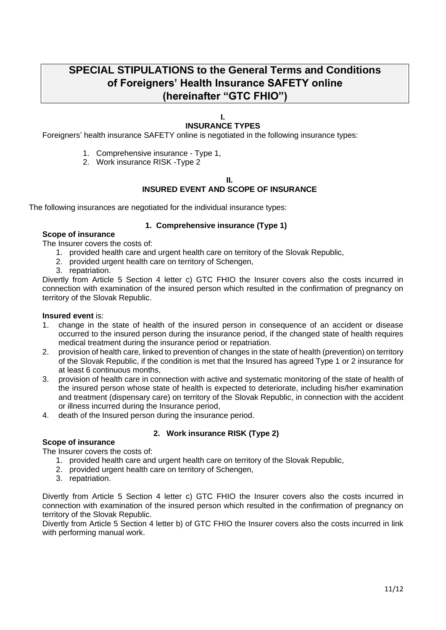# **SPECIAL STIPULATIONS to the General Terms and Conditions of Foreigners' Health Insurance SAFETY online (hereinafter "GTC FHIO")**

#### **I. INSURANCE TYPES**

Foreigners' health insurance SAFETY online is negotiated in the following insurance types:

- 1. Comprehensive insurance Type 1,
- 2. Work insurance RISK -Type 2

#### **II.**

## **INSURED EVENT AND SCOPE OF INSURANCE**

The following insurances are negotiated for the individual insurance types:

## **1. Comprehensive insurance (Type 1)**

## **Scope of insurance**

The Insurer covers the costs of:

- 1. provided health care and urgent health care on territory of the Slovak Republic,
- 2. provided urgent health care on territory of Schengen,
- 3. repatriation.

Divertly from Article 5 Section 4 letter c) GTC FHIO the Insurer covers also the costs incurred in connection with examination of the insured person which resulted in the confirmation of pregnancy on territory of the Slovak Republic.

#### **Insured event** is:

- 1. change in the state of health of the insured person in consequence of an accident or disease occurred to the insured person during the insurance period, if the changed state of health requires medical treatment during the insurance period or repatriation.
- 2. provision of health care, linked to prevention of changes in the state of health (prevention) on territory of the Slovak Republic, if the condition is met that the Insured has agreed Type 1 or 2 insurance for at least 6 continuous months,
- 3. provision of health care in connection with active and systematic monitoring of the state of health of the insured person whose state of health is expected to deteriorate, including his/her examination and treatment (dispensary care) on territory of the Slovak Republic, in connection with the accident or illness incurred during the Insurance period,
- 4. death of the Insured person during the insurance period.

## **2. Work insurance RISK (Type 2)**

#### **Scope of insurance**

The Insurer covers the costs of:

- 1. provided health care and urgent health care on territory of the Slovak Republic,
- 2. provided urgent health care on territory of Schengen,
- 3. repatriation.

Divertly from Article 5 Section 4 letter c) GTC FHIO the Insurer covers also the costs incurred in connection with examination of the insured person which resulted in the confirmation of pregnancy on territory of the Slovak Republic.

Divertly from Article 5 Section 4 letter b) of GTC FHIO the Insurer covers also the costs incurred in link with performing manual work.